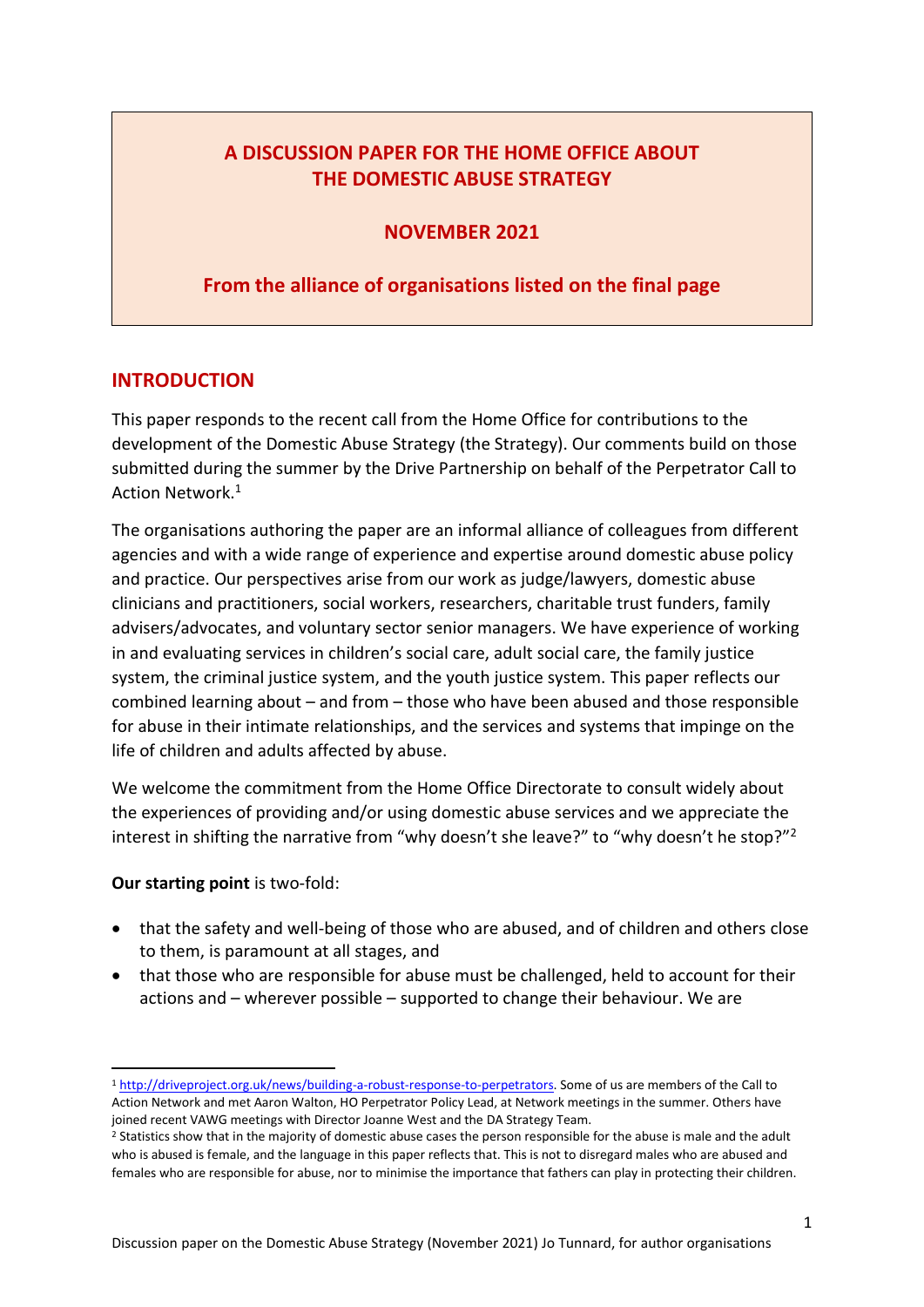## **A DISCUSSION PAPER FOR THE HOME OFFICE ABOUT THE DOMESTIC ABUSE STRATEGY**

### **NOVEMBER 2021**

## **From the alliance of organisations listed on the final page**

### **INTRODUCTION**

This paper responds to the recent call from the Home Office for contributions to the development of the Domestic Abuse Strategy (the Strategy). Our comments build on those submitted during the summer by the Drive Partnership on behalf of the Perpetrator Call to Action Network.<sup>1</sup>

The organisations authoring the paper are an informal alliance of colleagues from different agencies and with a wide range of experience and expertise around domestic abuse policy and practice. Our perspectives arise from our work as judge/lawyers, domestic abuse clinicians and practitioners, social workers, researchers, charitable trust funders, family advisers/advocates, and voluntary sector senior managers. We have experience of working in and evaluating services in children's social care, adult social care, the family justice system, the criminal justice system, and the youth justice system. This paper reflects our combined learning about – and from – those who have been abused and those responsible for abuse in their intimate relationships, and the services and systems that impinge on the life of children and adults affected by abuse.

We welcome the commitment from the Home Office Directorate to consult widely about the experiences of providing and/or using domestic abuse services and we appreciate the interest in shifting the narrative from "why doesn't she leave?" to "why doesn't he stop?"<sup>2</sup>

### **Our starting point** is two-fold:

- that the safety and well-being of those who are abused, and of children and others close to them, is paramount at all stages, and
- that those who are responsible for abuse must be challenged, held to account for their actions and – wherever possible – supported to change their behaviour. We are

<sup>1</sup> [http://driveproject.org.uk/news/building-a-robust-response-to-perpetrators.](http://driveproject.org.uk/news/building-a-robust-response-to-perpetrators) Some of us are members of the Call to Action Network and met Aaron Walton, HO Perpetrator Policy Lead, at Network meetings in the summer. Others have joined recent VAWG meetings with Director Joanne West and the DA Strategy Team.

<sup>&</sup>lt;sup>2</sup> Statistics show that in the majority of domestic abuse cases the person responsible for the abuse is male and the adult who is abused is female, and the language in this paper reflects that. This is not to disregard males who are abused and females who are responsible for abuse, nor to minimise the importance that fathers can play in protecting their children.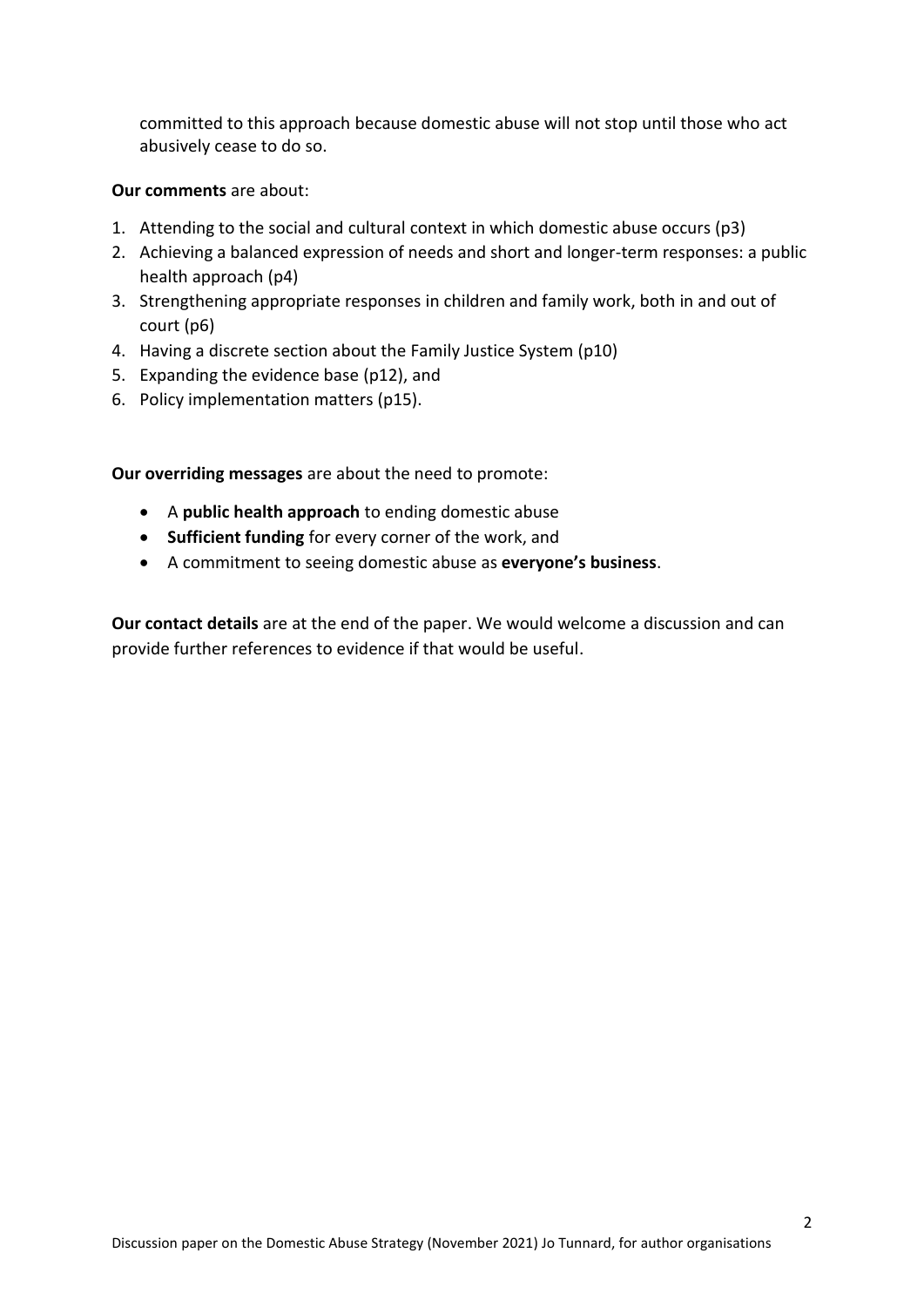committed to this approach because domestic abuse will not stop until those who act abusively cease to do so.

### **Our comments** are about:

- 1. Attending to the social and cultural context in which domestic abuse occurs (p3)
- 2. Achieving a balanced expression of needs and short and longer-term responses: a public health approach (p4)
- 3. Strengthening appropriate responses in children and family work, both in and out of court (p6)
- 4. Having a discrete section about the Family Justice System (p10)
- 5. Expanding the evidence base (p12), and
- 6. Policy implementation matters (p15).

**Our overriding messages** are about the need to promote:

- A **public health approach** to ending domestic abuse
- **Sufficient funding** for every corner of the work, and
- A commitment to seeing domestic abuse as **everyone's business**.

**Our contact details** are at the end of the paper. We would welcome a discussion and can provide further references to evidence if that would be useful.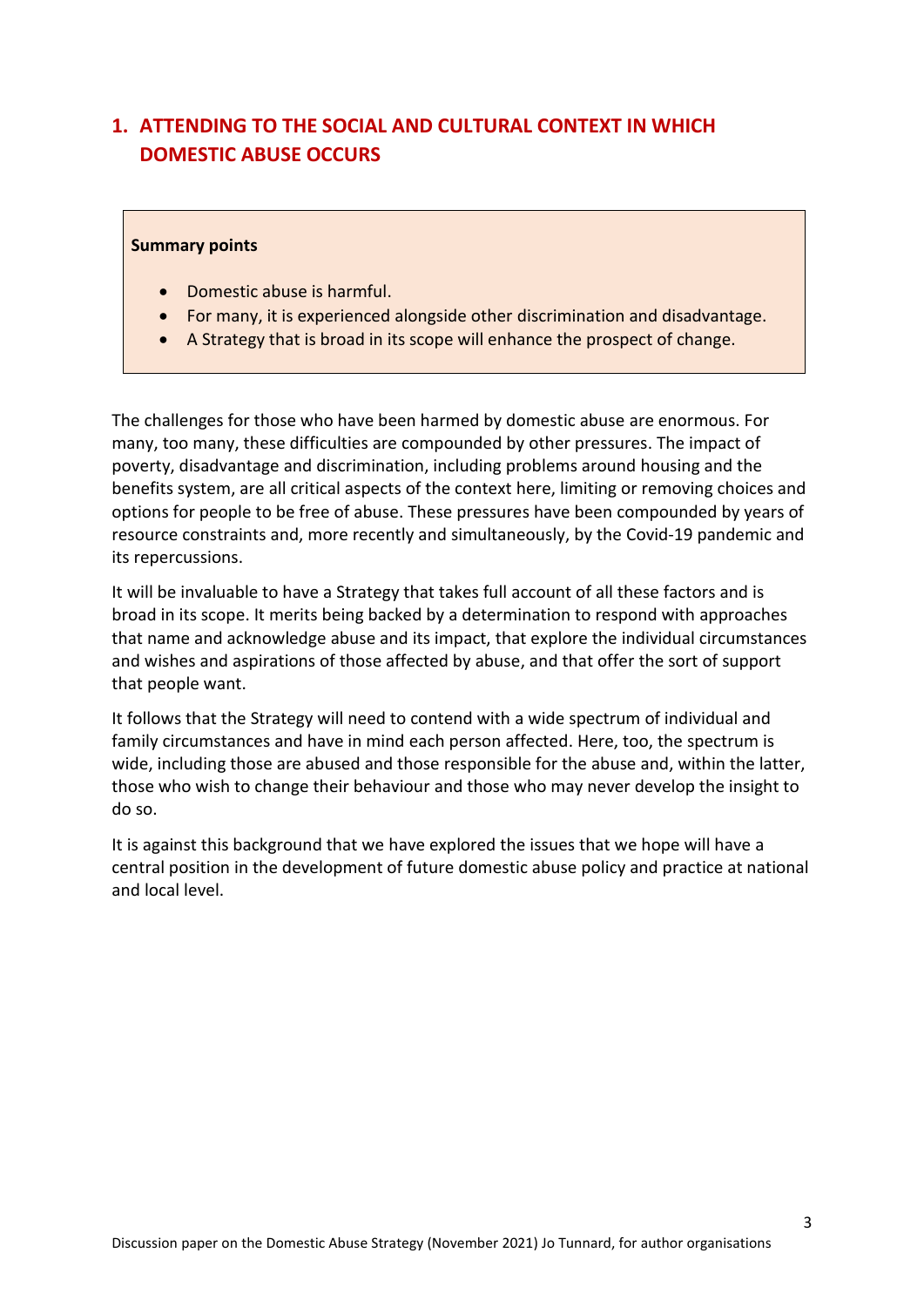# **1. ATTENDING TO THE SOCIAL AND CULTURAL CONTEXT IN WHICH DOMESTIC ABUSE OCCURS**

#### **Summary points**

- Domestic abuse is harmful.
- For many, it is experienced alongside other discrimination and disadvantage.
- A Strategy that is broad in its scope will enhance the prospect of change.

The challenges for those who have been harmed by domestic abuse are enormous. For many, too many, these difficulties are compounded by other pressures. The impact of poverty, disadvantage and discrimination, including problems around housing and the benefits system, are all critical aspects of the context here, limiting or removing choices and options for people to be free of abuse. These pressures have been compounded by years of resource constraints and, more recently and simultaneously, by the Covid-19 pandemic and its repercussions.

It will be invaluable to have a Strategy that takes full account of all these factors and is broad in its scope. It merits being backed by a determination to respond with approaches that name and acknowledge abuse and its impact, that explore the individual circumstances and wishes and aspirations of those affected by abuse, and that offer the sort of support that people want.

It follows that the Strategy will need to contend with a wide spectrum of individual and family circumstances and have in mind each person affected. Here, too, the spectrum is wide, including those are abused and those responsible for the abuse and, within the latter, those who wish to change their behaviour and those who may never develop the insight to do so.

It is against this background that we have explored the issues that we hope will have a central position in the development of future domestic abuse policy and practice at national and local level.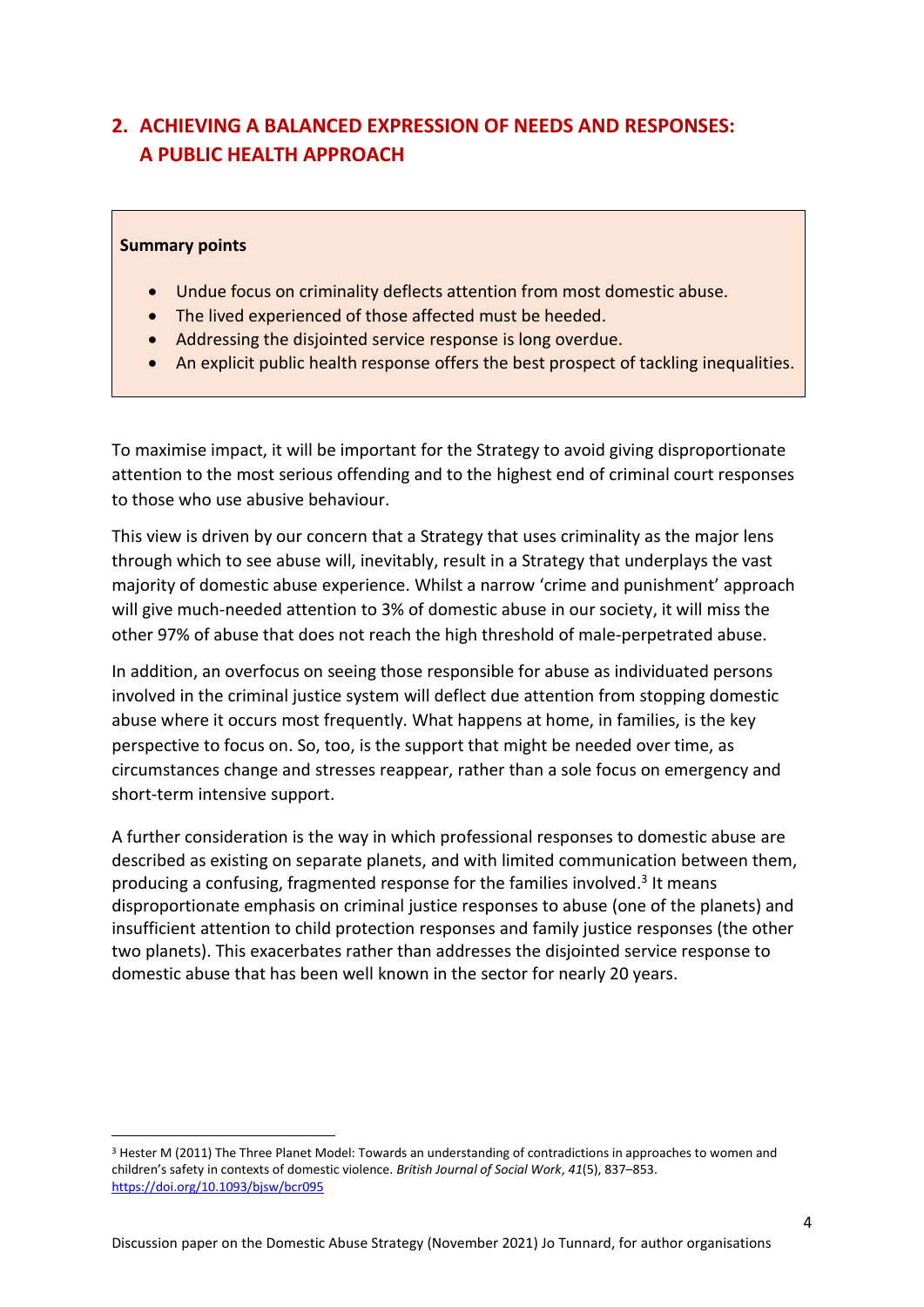# **2. ACHIEVING A BALANCED EXPRESSION OF NEEDS AND RESPONSES: A PUBLIC HEALTH APPROACH**

### **Summary points**

- Undue focus on criminality deflects attention from most domestic abuse.
- The lived experienced of those affected must be heeded.
- Addressing the disjointed service response is long overdue.
- An explicit public health response offers the best prospect of tackling inequalities.

To maximise impact, it will be important for the Strategy to avoid giving disproportionate attention to the most serious offending and to the highest end of criminal court responses to those who use abusive behaviour.

This view is driven by our concern that a Strategy that uses criminality as the major lens through which to see abuse will, inevitably, result in a Strategy that underplays the vast majority of domestic abuse experience. Whilst a narrow 'crime and punishment' approach will give much-needed attention to 3% of domestic abuse in our society, it will miss the other 97% of abuse that does not reach the high threshold of male-perpetrated abuse.

In addition, an overfocus on seeing those responsible for abuse as individuated persons involved in the criminal justice system will deflect due attention from stopping domestic abuse where it occurs most frequently. What happens at home, in families, is the key perspective to focus on. So, too, is the support that might be needed over time, as circumstances change and stresses reappear, rather than a sole focus on emergency and short-term intensive support.

A further consideration is the way in which professional responses to domestic abuse are described as existing on separate planets, and with limited communication between them, producing a confusing, fragmented response for the families involved.<sup>3</sup> It means disproportionate emphasis on criminal justice responses to abuse (one of the planets) and insufficient attention to child protection responses and family justice responses (the other two planets). This exacerbates rather than addresses the disjointed service response to domestic abuse that has been well known in the sector for nearly 20 years.

<sup>3</sup> Hester M (2011) The Three Planet Model: Towards an understanding of contradictions in approaches to women and children's safety in contexts of domestic violence. *British Journal of Social Work*, *41*(5), 837–853. <https://doi.org/10.1093/bjsw/bcr095>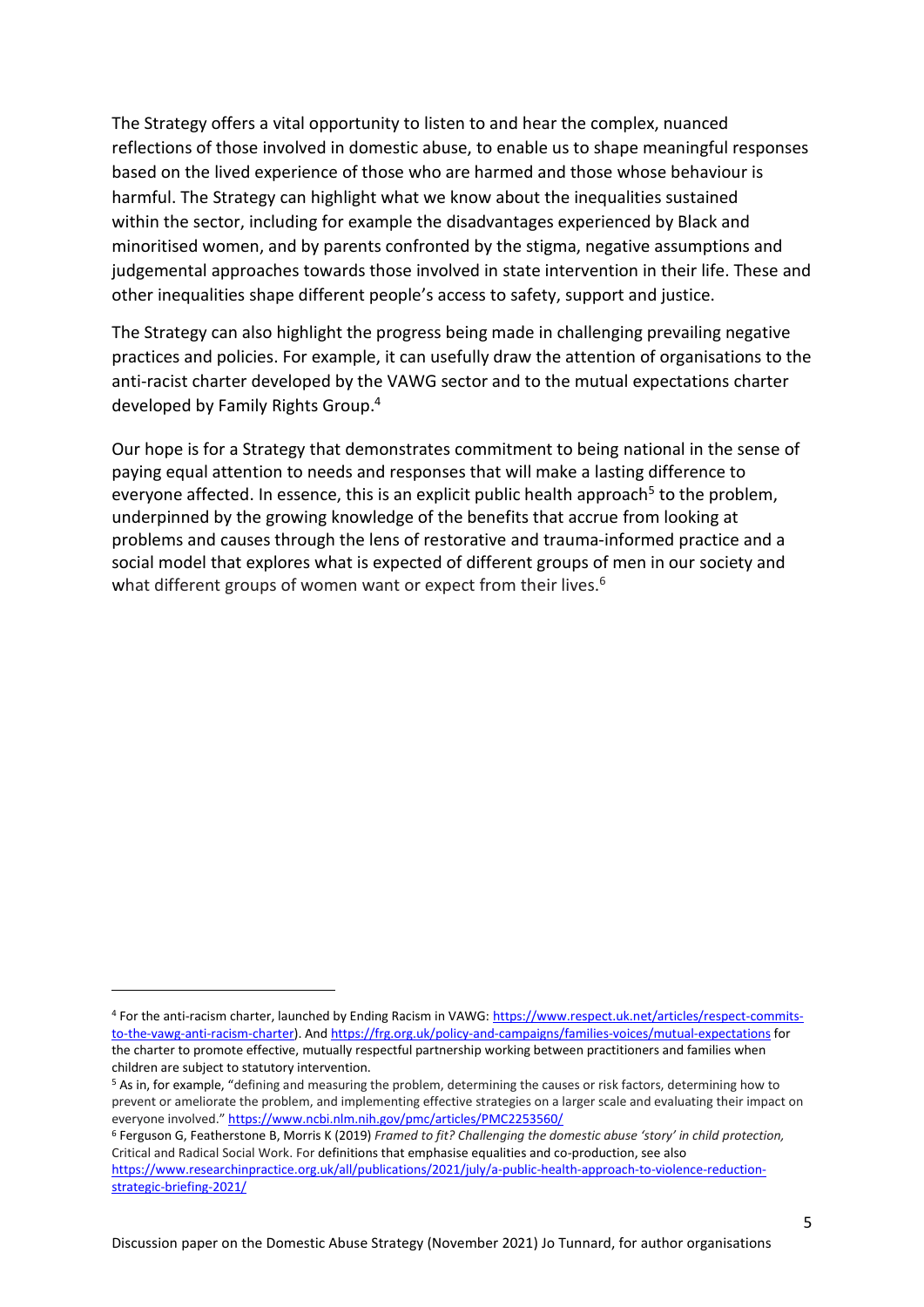The Strategy offers a vital opportunity to listen to and hear the complex, nuanced reflections of those involved in domestic abuse, to enable us to shape meaningful responses based on the lived experience of those who are harmed and those whose behaviour is harmful. The Strategy can highlight what we know about the inequalities sustained within the sector, including for example the disadvantages experienced by Black and minoritised women, and by parents confronted by the stigma, negative assumptions and judgemental approaches towards those involved in state intervention in their life. These and other inequalities shape different people's access to safety, support and justice.

The Strategy can also highlight the progress being made in challenging prevailing negative practices and policies. For example, it can usefully draw the attention of organisations to the anti-racist charter developed by the VAWG sector and to the mutual expectations charter developed by Family Rights Group. 4

Our hope is for a Strategy that demonstrates commitment to being national in the sense of paying equal attention to needs and responses that will make a lasting difference to everyone affected. In essence, this is an explicit public health approach<sup>5</sup> to the problem, underpinned by the growing knowledge of the benefits that accrue from looking at problems and causes through the lens of restorative and trauma-informed practice and a social model that explores what is expected of different groups of men in our society and what different groups of women want or expect from their lives.<sup>6</sup>

<sup>4</sup> For the anti-racism charter, launched by Ending Racism in VAWG[: https://www.respect.uk.net/articles/respect-commits](https://www.respect.uk.net/articles/respect-commits-to-the-vawg-anti-racism-charter)[to-the-vawg-anti-racism-charter\)](https://www.respect.uk.net/articles/respect-commits-to-the-vawg-anti-racism-charter). An[d https://frg.org.uk/policy-and-campaigns/families-voices/mutual-expectations](https://frg.org.uk/policy-and-campaigns/families-voices/mutual-expectations) for the charter to promote effective, mutually respectful partnership working between practitioners and families when children are subject to statutory intervention.

<sup>5</sup> As in, for example, "defining and measuring the problem, determining the causes or risk factors, determining how to prevent or ameliorate the problem, and implementing effective strategies on a larger scale and evaluating their impact on everyone involved." <https://www.ncbi.nlm.nih.gov/pmc/articles/PMC2253560/>

<sup>6</sup> Ferguson G, Featherstone B, Morris K (2019) *Framed to fit? Challenging the domestic abuse 'story' in child protection,* Critical and Radical Social Work. For definitions that emphasise equalities and co-production, see also [https://www.researchinpractice.org.uk/all/publications/2021/july/a-public-health-approach-to-violence-reduction](https://www.researchinpractice.org.uk/all/publications/2021/july/a-public-health-approach-to-violence-reduction-strategic-briefing-2021/)[strategic-briefing-2021/](https://www.researchinpractice.org.uk/all/publications/2021/july/a-public-health-approach-to-violence-reduction-strategic-briefing-2021/)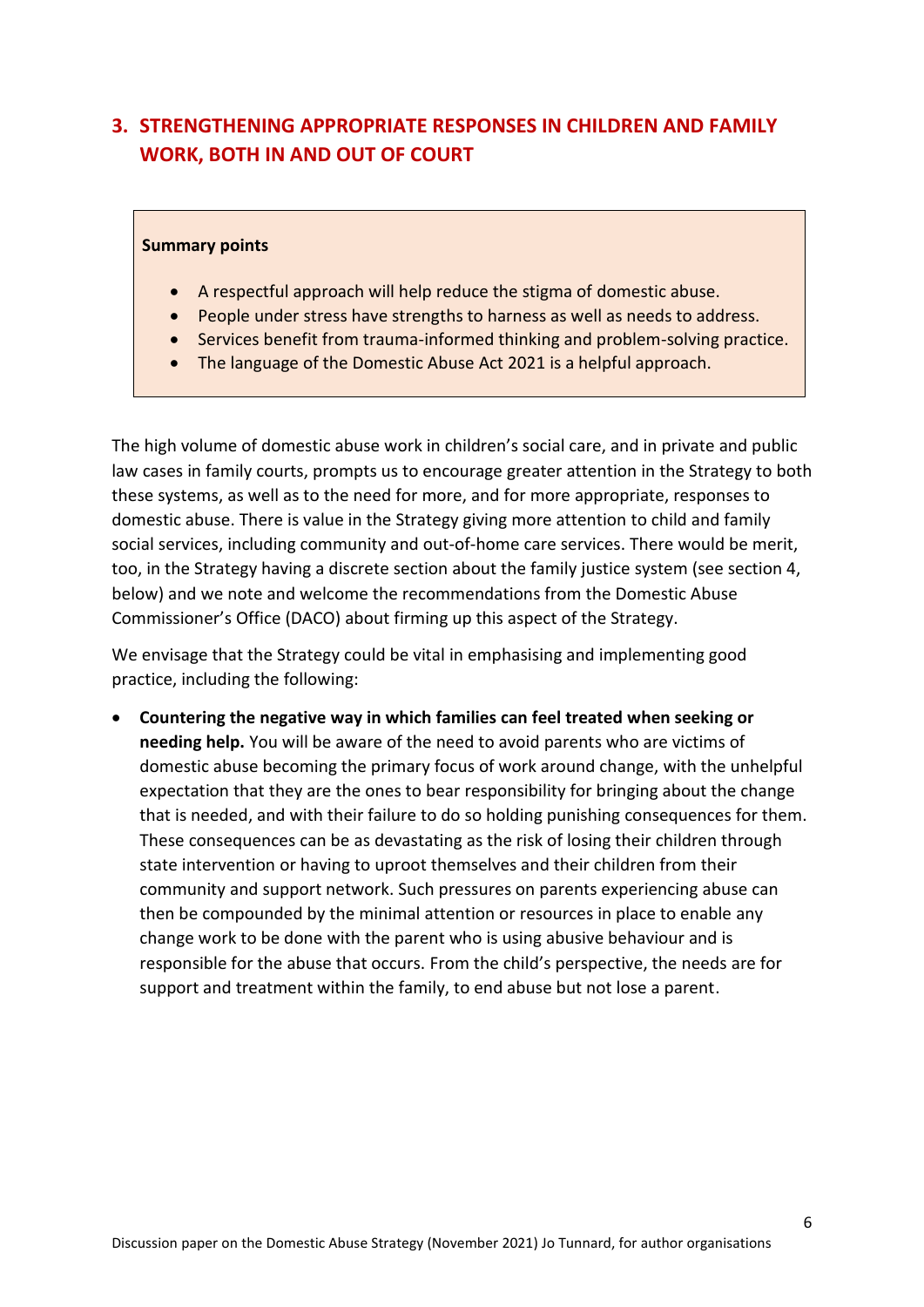# **3. STRENGTHENING APPROPRIATE RESPONSES IN CHILDREN AND FAMILY WORK, BOTH IN AND OUT OF COURT**

### **Summary points**

- A respectful approach will help reduce the stigma of domestic abuse.
- People under stress have strengths to harness as well as needs to address.
- Services benefit from trauma-informed thinking and problem-solving practice.
- The language of the Domestic Abuse Act 2021 is a helpful approach.

The high volume of domestic abuse work in children's social care, and in private and public law cases in family courts, prompts us to encourage greater attention in the Strategy to both these systems, as well as to the need for more, and for more appropriate, responses to domestic abuse. There is value in the Strategy giving more attention to child and family social services, including community and out-of-home care services. There would be merit, too, in the Strategy having a discrete section about the family justice system (see section 4, below) and we note and welcome the recommendations from the Domestic Abuse Commissioner's Office (DACO) about firming up this aspect of the Strategy.

We envisage that the Strategy could be vital in emphasising and implementing good practice, including the following:

• **Countering the negative way in which families can feel treated when seeking or needing help.** You will be aware of the need to avoid parents who are victims of domestic abuse becoming the primary focus of work around change, with the unhelpful expectation that they are the ones to bear responsibility for bringing about the change that is needed, and with their failure to do so holding punishing consequences for them. These consequences can be as devastating as the risk of losing their children through state intervention or having to uproot themselves and their children from their community and support network. Such pressures on parents experiencing abuse can then be compounded by the minimal attention or resources in place to enable any change work to be done with the parent who is using abusive behaviour and is responsible for the abuse that occurs. From the child's perspective, the needs are for support and treatment within the family, to end abuse but not lose a parent.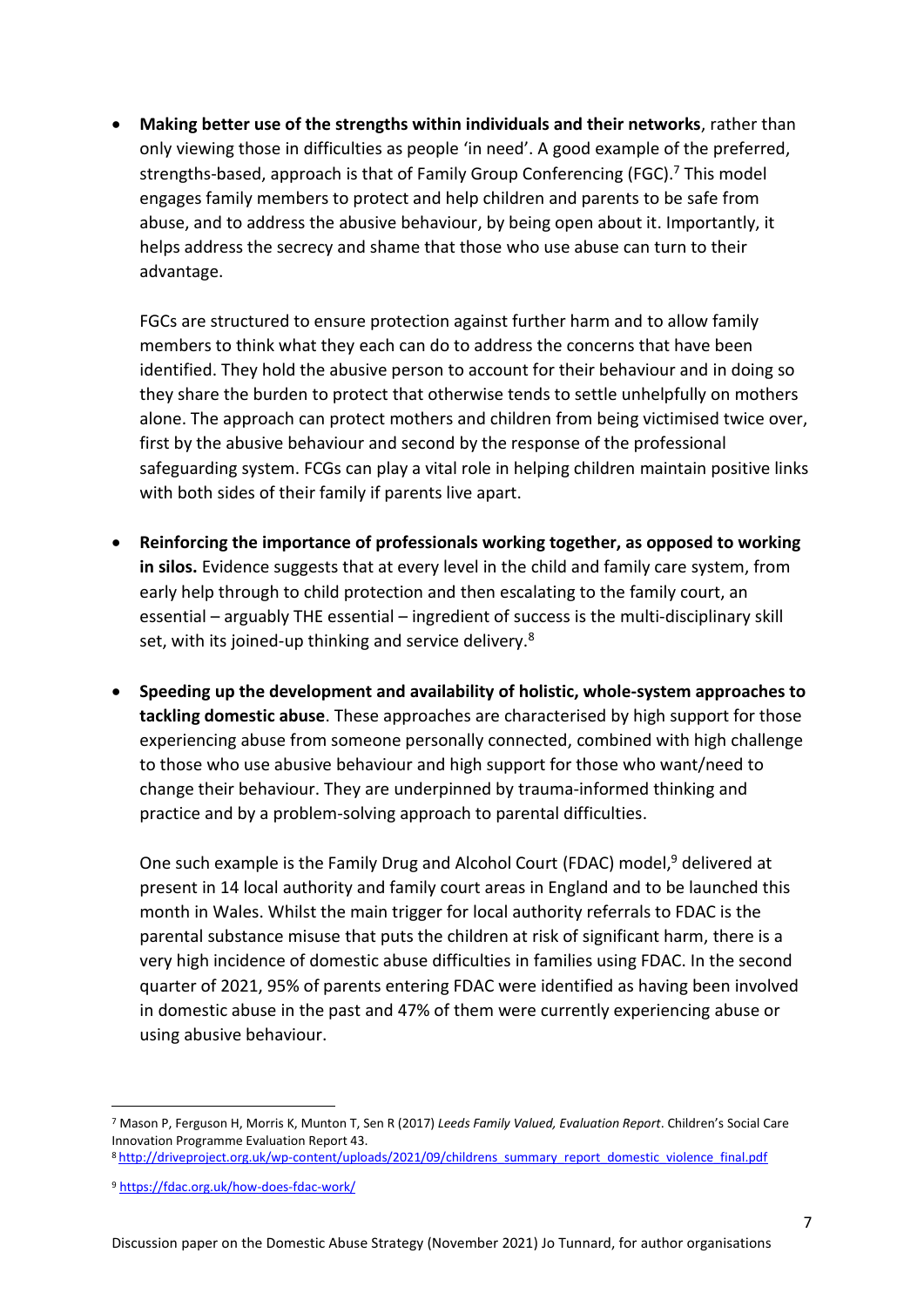• **Making better use of the strengths within individuals and their networks**, rather than only viewing those in difficulties as people 'in need'. A good example of the preferred, strengths-based, approach is that of Family Group Conferencing (FGC).<sup>7</sup> This model engages family members to protect and help children and parents to be safe from abuse, and to address the abusive behaviour, by being open about it. Importantly, it helps address the secrecy and shame that those who use abuse can turn to their advantage.

FGCs are structured to ensure protection against further harm and to allow family members to think what they each can do to address the concerns that have been identified. They hold the abusive person to account for their behaviour and in doing so they share the burden to protect that otherwise tends to settle unhelpfully on mothers alone. The approach can protect mothers and children from being victimised twice over, first by the abusive behaviour and second by the response of the professional safeguarding system. FCGs can play a vital role in helping children maintain positive links with both sides of their family if parents live apart.

- **Reinforcing the importance of professionals working together, as opposed to working in silos.** Evidence suggests that at every level in the child and family care system, from early help through to child protection and then escalating to the family court, an essential – arguably THE essential – ingredient of success is the multi-disciplinary skill set, with its joined-up thinking and service delivery.<sup>8</sup>
- **Speeding up the development and availability of holistic, whole-system approaches to tackling domestic abuse**. These approaches are characterised by high support for those experiencing abuse from someone personally connected, combined with high challenge to those who use abusive behaviour and high support for those who want/need to change their behaviour. They are underpinned by trauma-informed thinking and practice and by a problem-solving approach to parental difficulties.

One such example is the Family Drug and Alcohol Court (FDAC) model,<sup>9</sup> delivered at present in 14 local authority and family court areas in England and to be launched this month in Wales. Whilst the main trigger for local authority referrals to FDAC is the parental substance misuse that puts the children at risk of significant harm, there is a very high incidence of domestic abuse difficulties in families using FDAC. In the second quarter of 2021, 95% of parents entering FDAC were identified as having been involved in domestic abuse in the past and 47% of them were currently experiencing abuse or using abusive behaviour.

<sup>7</sup> Mason P, Ferguson H, Morris K, Munton T, Sen R (2017) *Leeds Family Valued, Evaluation Report*. Children's Social Care Innovation Programme Evaluation Report 43.

<sup>8</sup> [http://driveproject.org.uk/wp-content/uploads/2021/09/childrens\\_summary\\_report\\_domestic\\_violence\\_final.pdf](http://driveproject.org.uk/wp-content/uploads/2021/09/childrens_summary_report_domestic_violence_final.pdf)

<sup>9</sup> <https://fdac.org.uk/how-does-fdac-work/>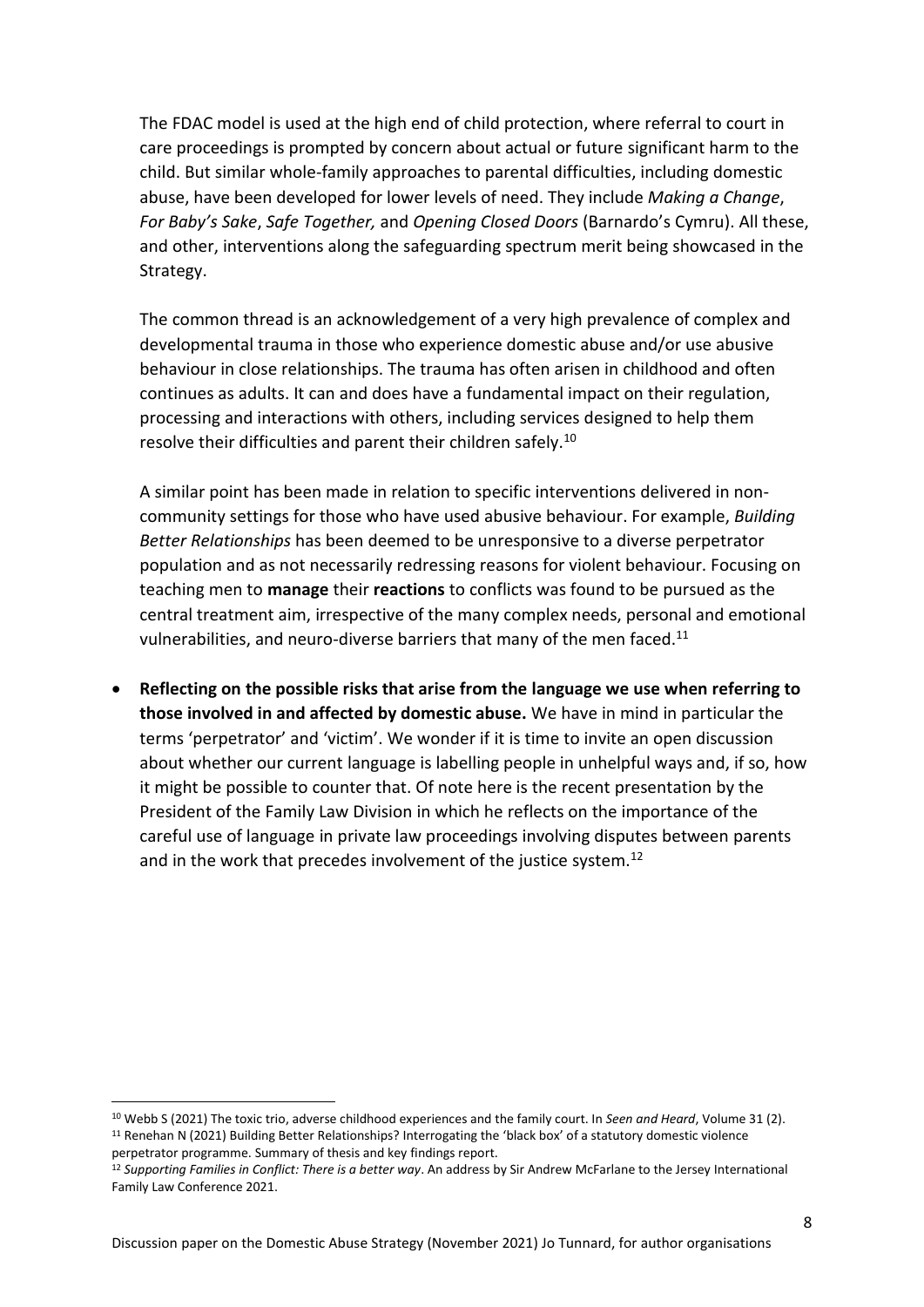The FDAC model is used at the high end of child protection, where referral to court in care proceedings is prompted by concern about actual or future significant harm to the child. But similar whole-family approaches to parental difficulties, including domestic abuse, have been developed for lower levels of need. They include *Making a Change*, *For Baby's Sake*, *Safe Together,* and *Opening Closed Doors* (Barnardo's Cymru). All these, and other, interventions along the safeguarding spectrum merit being showcased in the Strategy.

The common thread is an acknowledgement of a very high prevalence of complex and developmental trauma in those who experience domestic abuse and/or use abusive behaviour in close relationships. The trauma has often arisen in childhood and often continues as adults. It can and does have a fundamental impact on their regulation, processing and interactions with others, including services designed to help them resolve their difficulties and parent their children safely.<sup>10</sup>

A similar point has been made in relation to specific interventions delivered in noncommunity settings for those who have used abusive behaviour. For example, *Building Better Relationships* has been deemed to be unresponsive to a diverse perpetrator population and as not necessarily redressing reasons for violent behaviour. Focusing on teaching men to **manage** their **reactions** to conflicts was found to be pursued as the central treatment aim, irrespective of the many complex needs, personal and emotional vulnerabilities, and neuro-diverse barriers that many of the men faced.<sup>11</sup>

• **Reflecting on the possible risks that arise from the language we use when referring to those involved in and affected by domestic abuse.** We have in mind in particular the terms 'perpetrator' and 'victim'. We wonder if it is time to invite an open discussion about whether our current language is labelling people in unhelpful ways and, if so, how it might be possible to counter that. Of note here is the recent presentation by the President of the Family Law Division in which he reflects on the importance of the careful use of language in private law proceedings involving disputes between parents and in the work that precedes involvement of the justice system.<sup>12</sup>

<sup>10</sup> Webb S (2021) The toxic trio, adverse childhood experiences and the family court. In *Seen and Heard*, Volume 31 (2). <sup>11</sup> Renehan N (2021) Building Better Relationships? Interrogating the 'black box' of a statutory domestic violence perpetrator programme. Summary of thesis and key findings report.

<sup>12</sup> *Supporting Families in Conflict: There is a better way*. An address by Sir Andrew McFarlane to the Jersey International Family Law Conference 2021.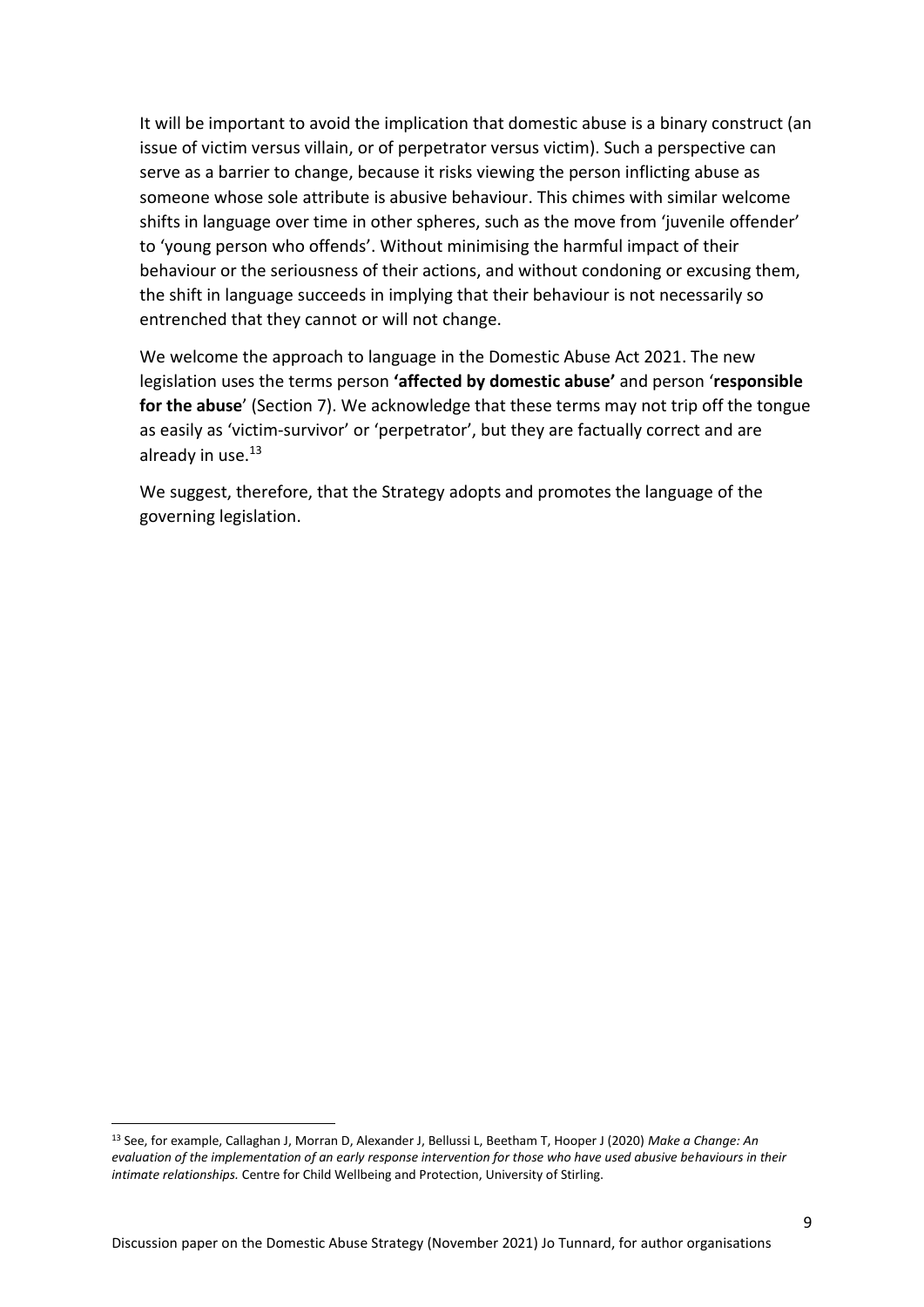It will be important to avoid the implication that domestic abuse is a binary construct (an issue of victim versus villain, or of perpetrator versus victim). Such a perspective can serve as a barrier to change, because it risks viewing the person inflicting abuse as someone whose sole attribute is abusive behaviour. This chimes with similar welcome shifts in language over time in other spheres, such as the move from 'juvenile offender' to 'young person who offends'. Without minimising the harmful impact of their behaviour or the seriousness of their actions, and without condoning or excusing them, the shift in language succeeds in implying that their behaviour is not necessarily so entrenched that they cannot or will not change.

We welcome the approach to language in the Domestic Abuse Act 2021. The new legislation uses the terms person **'affected by domestic abuse'** and person '**responsible for the abuse**' (Section 7). We acknowledge that these terms may not trip off the tongue as easily as 'victim-survivor' or 'perpetrator', but they are factually correct and are already in use. $13$ 

We suggest, therefore, that the Strategy adopts and promotes the language of the governing legislation.

<sup>13</sup> See, for example, Callaghan J, Morran D, Alexander J, Bellussi L, Beetham T, Hooper J (2020) *Make a Change: An evaluation of the implementation of an early response intervention for those who have used abusive behaviours in their intimate relationships.* Centre for Child Wellbeing and Protection, University of Stirling.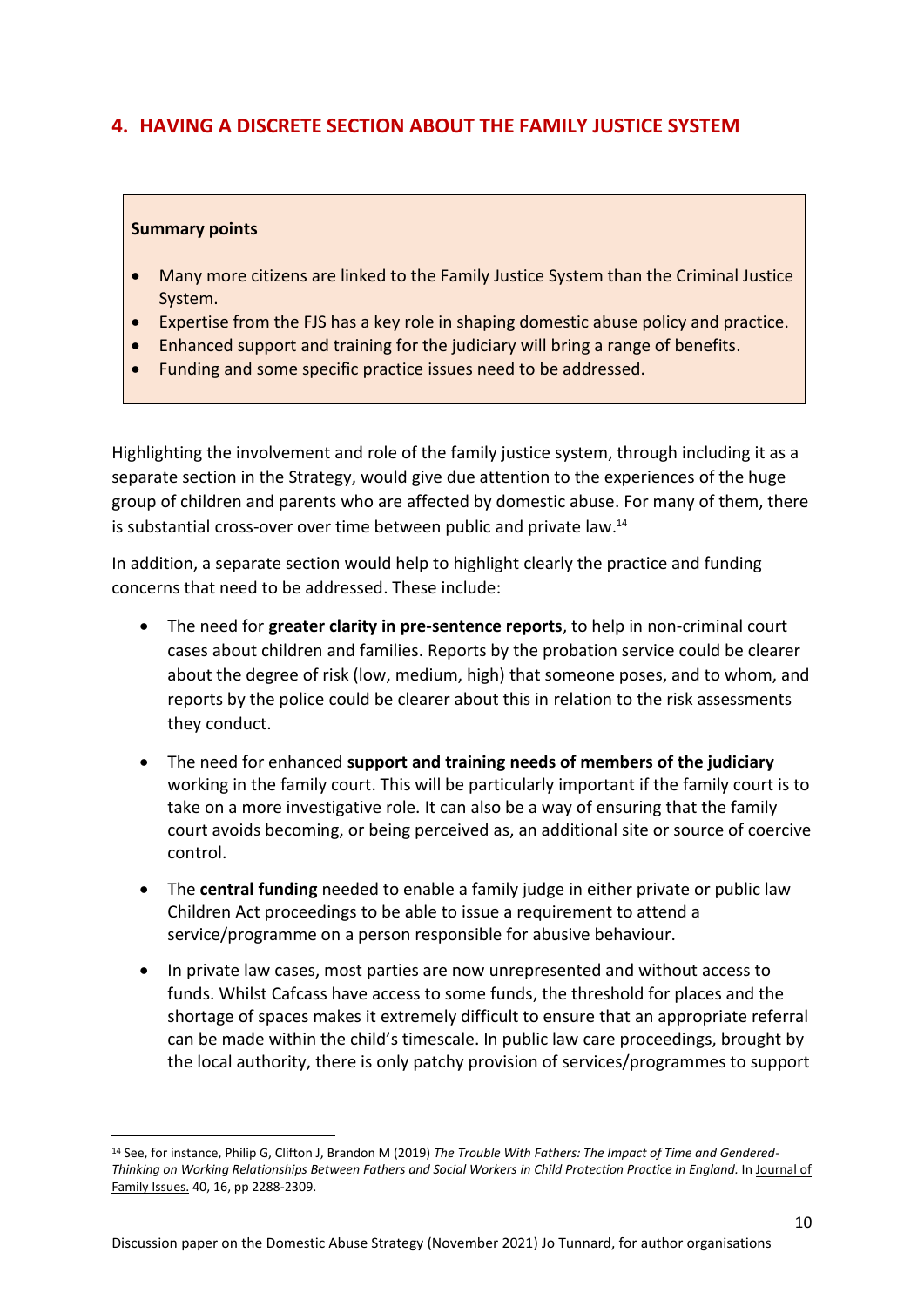## **4. HAVING A DISCRETE SECTION ABOUT THE FAMILY JUSTICE SYSTEM**

#### **Summary points**

- Many more citizens are linked to the Family Justice System than the Criminal Justice System.
- Expertise from the FJS has a key role in shaping domestic abuse policy and practice.
- Enhanced support and training for the judiciary will bring a range of benefits.
- Funding and some specific practice issues need to be addressed.

Highlighting the involvement and role of the family justice system, through including it as a separate section in the Strategy, would give due attention to the experiences of the huge group of children and parents who are affected by domestic abuse. For many of them, there is substantial cross-over over time between public and private law. $^{14}$ 

In addition, a separate section would help to highlight clearly the practice and funding concerns that need to be addressed. These include:

- The need for **greater clarity in pre-sentence reports**, to help in non-criminal court cases about children and families. Reports by the probation service could be clearer about the degree of risk (low, medium, high) that someone poses, and to whom, and reports by the police could be clearer about this in relation to the risk assessments they conduct.
- The need for enhanced **support and training needs of members of the judiciary** working in the family court. This will be particularly important if the family court is to take on a more investigative role. It can also be a way of ensuring that the family court avoids becoming, or being perceived as, an additional site or source of coercive control.
- The **central funding** needed to enable a family judge in either private or public law Children Act proceedings to be able to issue a requirement to attend a service/programme on a person responsible for abusive behaviour.
- In private law cases, most parties are now unrepresented and without access to funds. Whilst Cafcass have access to some funds, the threshold for places and the shortage of spaces makes it extremely difficult to ensure that an appropriate referral can be made within the child's timescale. In public law care proceedings, brought by the local authority, there is only patchy provision of services/programmes to support

<sup>14</sup> See, for instance, Philip G, Clifton J, Brandon M (2019) *[The Trouble With Fathers: The Impact of Time and Gendered-](https://research-portal.uea.ac.uk/en/publications/the-trouble-with-fathers-the-impact-of-time-and-gendered-thinking)[Thinking on Working Relationships Between Fathers and Social Workers](https://research-portal.uea.ac.uk/en/publications/the-trouble-with-fathers-the-impact-of-time-and-gendered-thinking) in Child Protection Practice in England.* In [Journal of](https://research-portal.uea.ac.uk/en/persons/georgia-philip/publications/)  [Family Issues.](https://research-portal.uea.ac.uk/en/persons/georgia-philip/publications/) 40, 16, pp 2288-2309.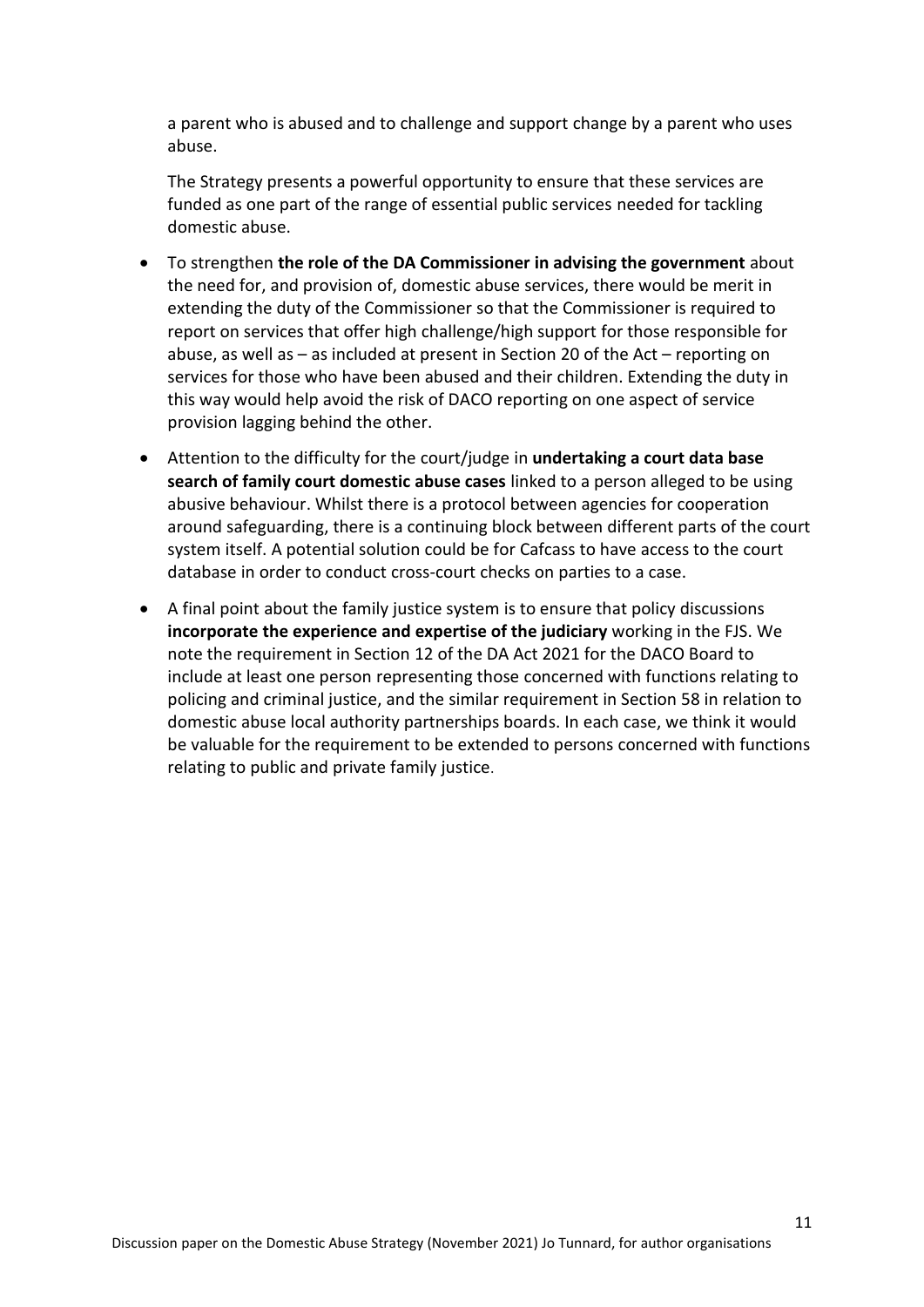a parent who is abused and to challenge and support change by a parent who uses abuse.

The Strategy presents a powerful opportunity to ensure that these services are funded as one part of the range of essential public services needed for tackling domestic abuse.

- To strengthen **the role of the DA Commissioner in advising the government** about the need for, and provision of, domestic abuse services, there would be merit in extending the duty of the Commissioner so that the Commissioner is required to report on services that offer high challenge/high support for those responsible for abuse, as well as – as included at present in Section 20 of the Act – reporting on services for those who have been abused and their children. Extending the duty in this way would help avoid the risk of DACO reporting on one aspect of service provision lagging behind the other.
- Attention to the difficulty for the court/judge in **undertaking a court data base search of family court domestic abuse cases** linked to a person alleged to be using abusive behaviour. Whilst there is a protocol between agencies for cooperation around safeguarding, there is a continuing block between different parts of the court system itself. A potential solution could be for Cafcass to have access to the court database in order to conduct cross-court checks on parties to a case.
- A final point about the family justice system is to ensure that policy discussions **incorporate the experience and expertise of the judiciary** working in the FJS. We note the requirement in Section 12 of the DA Act 2021 for the DACO Board to include at least one person representing those concerned with functions relating to policing and criminal justice, and the similar requirement in Section 58 in relation to domestic abuse local authority partnerships boards. In each case, we think it would be valuable for the requirement to be extended to persons concerned with functions relating to public and private family justice.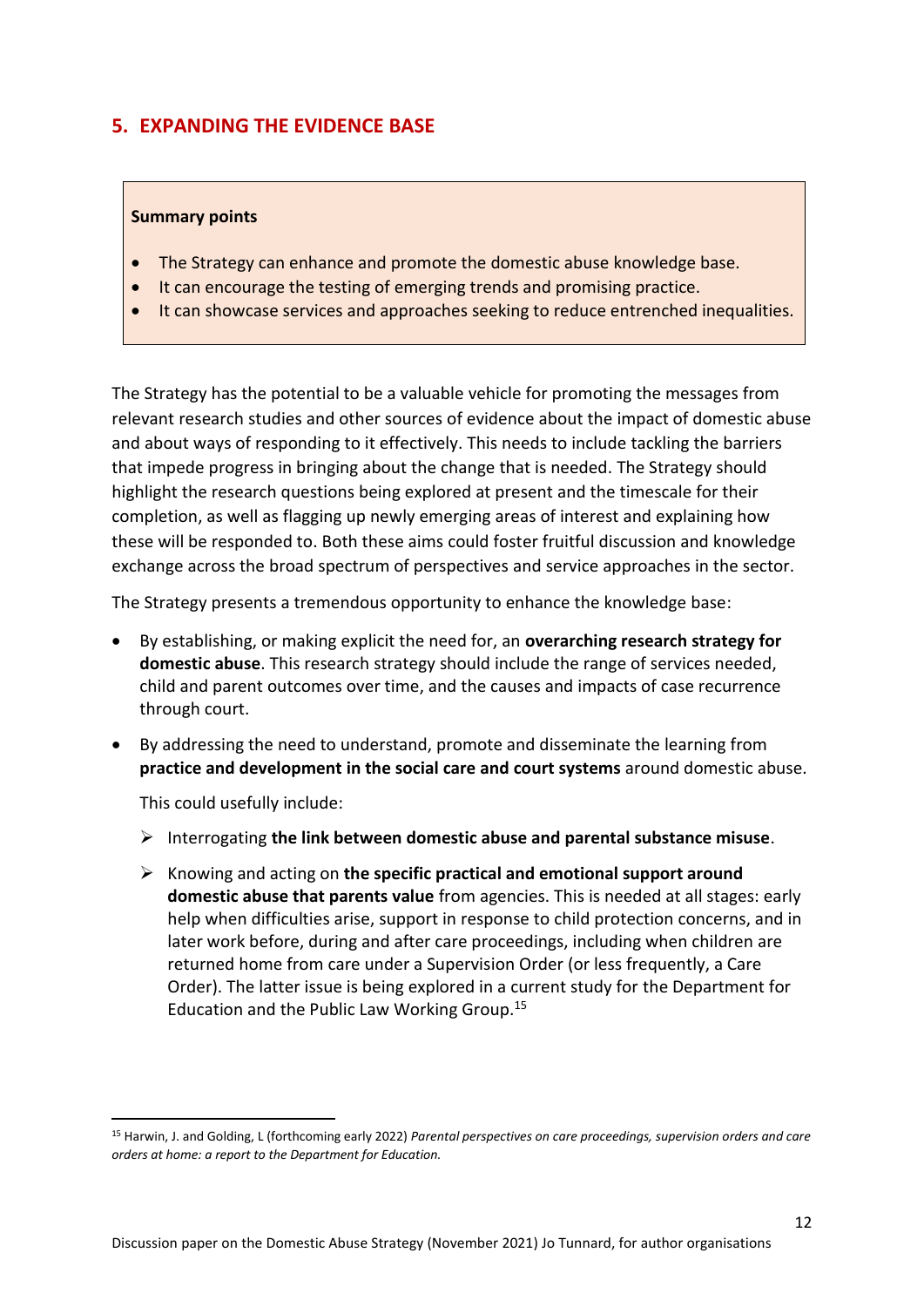## **5. EXPANDING THE EVIDENCE BASE**

#### **Summary points**

- The Strategy can enhance and promote the domestic abuse knowledge base.
- It can encourage the testing of emerging trends and promising practice.
- It can showcase services and approaches seeking to reduce entrenched inequalities.

The Strategy has the potential to be a valuable vehicle for promoting the messages from relevant research studies and other sources of evidence about the impact of domestic abuse and about ways of responding to it effectively. This needs to include tackling the barriers that impede progress in bringing about the change that is needed. The Strategy should highlight the research questions being explored at present and the timescale for their completion, as well as flagging up newly emerging areas of interest and explaining how these will be responded to. Both these aims could foster fruitful discussion and knowledge exchange across the broad spectrum of perspectives and service approaches in the sector.

The Strategy presents a tremendous opportunity to enhance the knowledge base:

- By establishing, or making explicit the need for, an **overarching research strategy for domestic abuse**. This research strategy should include the range of services needed, child and parent outcomes over time, and the causes and impacts of case recurrence through court.
- By addressing the need to understand, promote and disseminate the learning from **practice and development in the social care and court systems** around domestic abuse.

This could usefully include:

- ➢ Interrogating **the link between domestic abuse and parental substance misuse**.
- ➢ Knowing and acting on **the specific practical and emotional support around domestic abuse that parents value** from agencies. This is needed at all stages: early help when difficulties arise, support in response to child protection concerns, and in later work before, during and after care proceedings, including when children are returned home from care under a Supervision Order (or less frequently, a Care Order). The latter issue is being explored in a current study for the Department for Education and the Public Law Working Group.<sup>15</sup>

<sup>15</sup> Harwin, J. and Golding, L (forthcoming early 2022) *Parental perspectives on care proceedings, supervision orders and care orders at home: a report to the Department for Education.*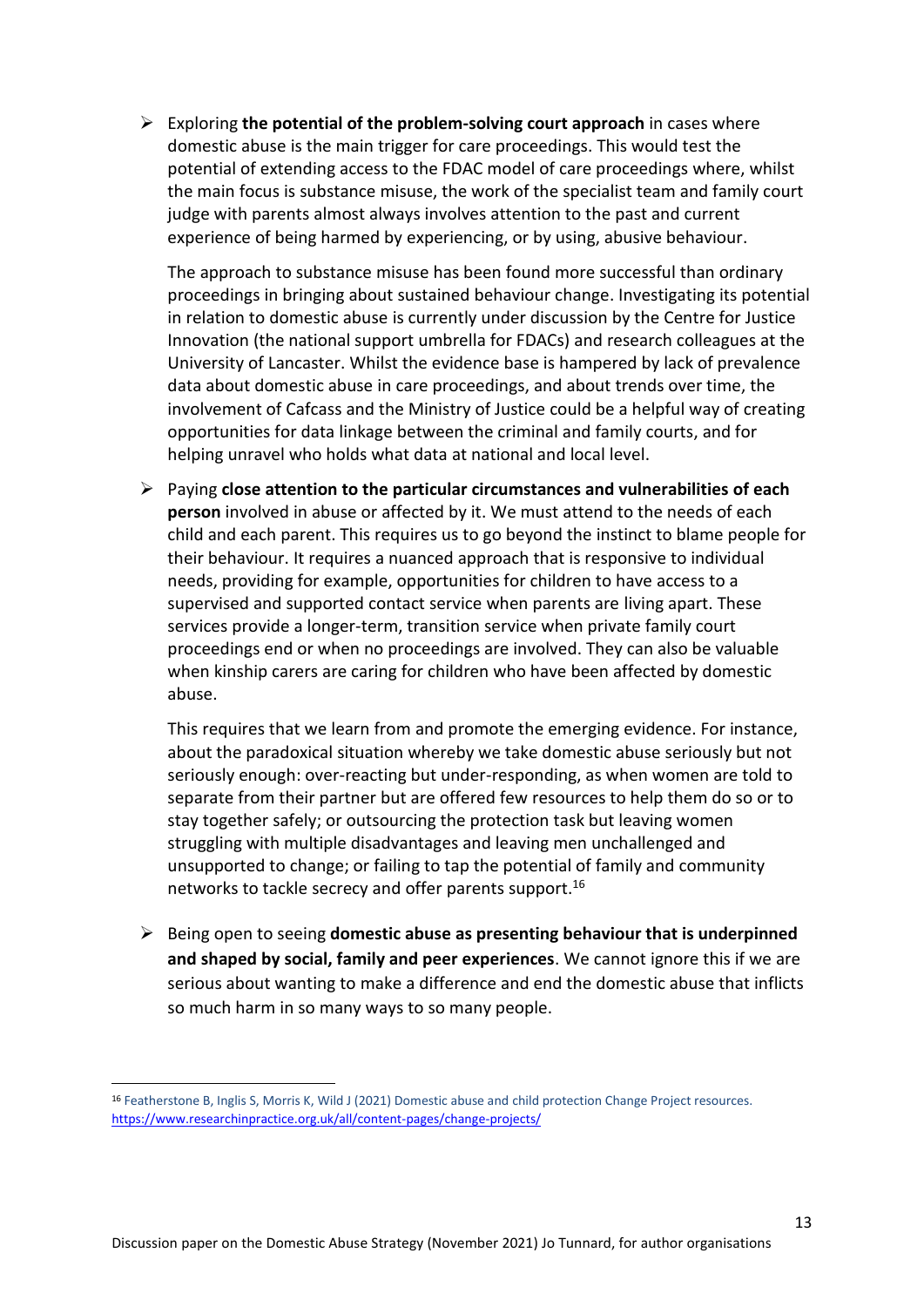➢ Exploring **the potential of the problem-solving court approach** in cases where domestic abuse is the main trigger for care proceedings. This would test the potential of extending access to the FDAC model of care proceedings where, whilst the main focus is substance misuse, the work of the specialist team and family court judge with parents almost always involves attention to the past and current experience of being harmed by experiencing, or by using, abusive behaviour.

The approach to substance misuse has been found more successful than ordinary proceedings in bringing about sustained behaviour change. Investigating its potential in relation to domestic abuse is currently under discussion by the Centre for Justice Innovation (the national support umbrella for FDACs) and research colleagues at the University of Lancaster. Whilst the evidence base is hampered by lack of prevalence data about domestic abuse in care proceedings, and about trends over time, the involvement of Cafcass and the Ministry of Justice could be a helpful way of creating opportunities for data linkage between the criminal and family courts, and for helping unravel who holds what data at national and local level.

➢ Paying **close attention to the particular circumstances and vulnerabilities of each person** involved in abuse or affected by it. We must attend to the needs of each child and each parent. This requires us to go beyond the instinct to blame people for their behaviour. It requires a nuanced approach that is responsive to individual needs, providing for example, opportunities for children to have access to a supervised and supported contact service when parents are living apart. These services provide a longer-term, transition service when private family court proceedings end or when no proceedings are involved. They can also be valuable when kinship carers are caring for children who have been affected by domestic abuse.

This requires that we learn from and promote the emerging evidence. For instance, about the paradoxical situation whereby we take domestic abuse seriously but not seriously enough: over-reacting but under-responding, as when women are told to separate from their partner but are offered few resources to help them do so or to stay together safely; or outsourcing the protection task but leaving women struggling with multiple disadvantages and leaving men unchallenged and unsupported to change; or failing to tap the potential of family and community networks to tackle secrecy and offer parents support.<sup>16</sup>

➢ Being open to seeing **domestic abuse as presenting behaviour that is underpinned and shaped by social, family and peer experiences**. We cannot ignore this if we are serious about wanting to make a difference and end the domestic abuse that inflicts so much harm in so many ways to so many people.

<sup>16</sup> Featherstone B, Inglis S, Morris K, Wild J (2021) Domestic abuse and child protection Change Project resources. [https://www.researchinpractice.org.uk/all/content-pages/change-projects/](https://eur02.safelinks.protection.outlook.com/?url=https%3A%2F%2Fwww.researchinpractice.org.uk%2Fall%2Fcontent-pages%2Fchange-projects%2F&data=04%7C01%7Cb.m.featherstone%40hud.ac.uk%7Ce6448f5f88f94f0723f408d9a459d8fe%7Cb52e9fda06914585bdfc5ccae1ce1890%7C0%7C0%7C637721528072920024%7CUnknown%7CTWFpbGZsb3d8eyJWIjoiMC4wLjAwMDAiLCJQIjoiV2luMzIiLCJBTiI6Ik1haWwiLCJXVCI6Mn0%3D%7C1000&sdata=JBjKWSi0PAkEO4wO%2F50pgxwEVftueeHBaTj7UUW3iic%3D&reserved=0)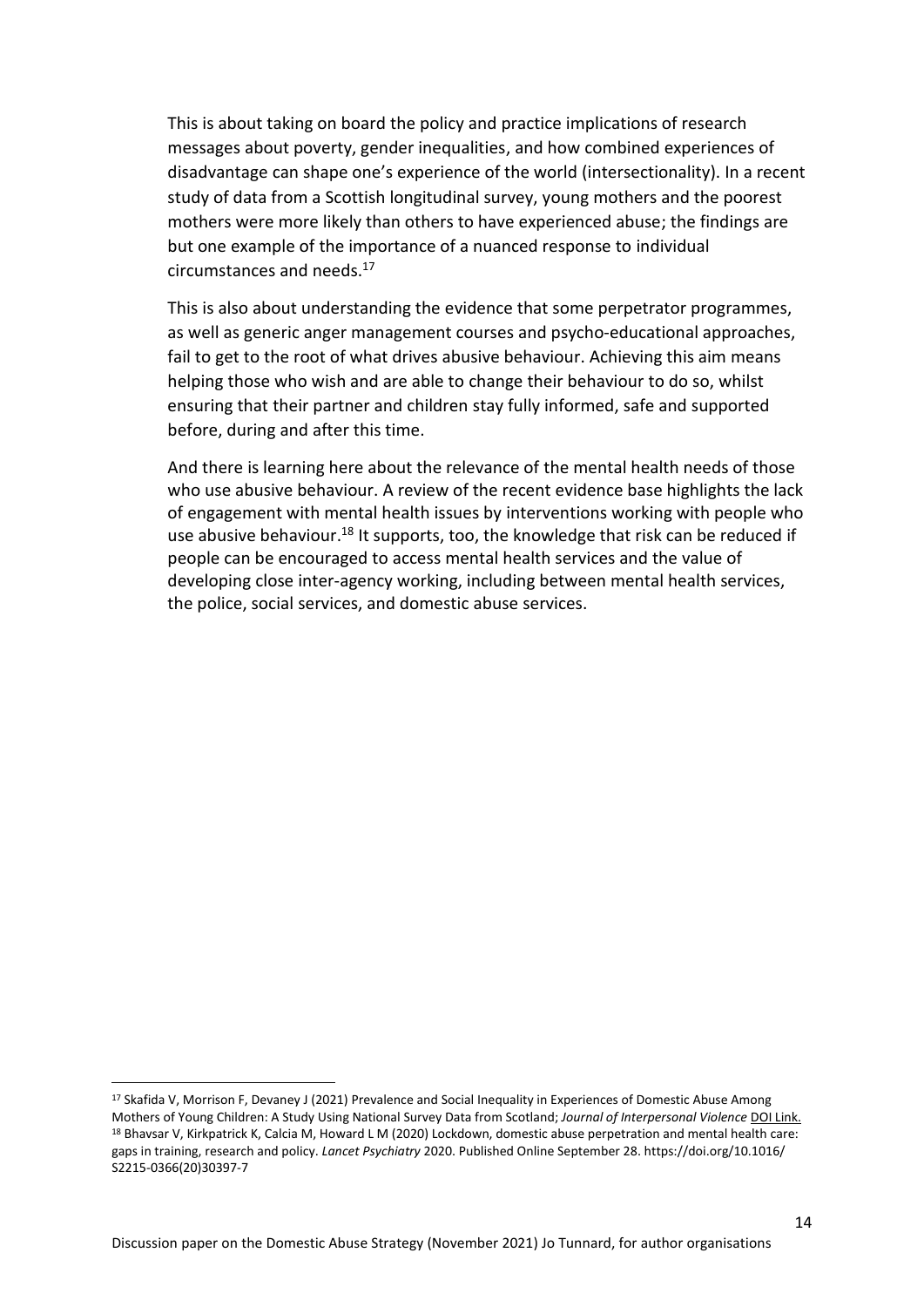This is about taking on board the policy and practice implications of research messages about poverty, gender inequalities, and how combined experiences of disadvantage can shape one's experience of the world (intersectionality). In a recent study of data from a Scottish longitudinal survey, young mothers and the poorest mothers were more likely than others to have experienced abuse; the findings are but one example of the importance of a nuanced response to individual circumstances and needs. 17

This is also about understanding the evidence that some perpetrator programmes, as well as generic anger management courses and psycho-educational approaches, fail to get to the root of what drives abusive behaviour. Achieving this aim means helping those who wish and are able to change their behaviour to do so, whilst ensuring that their partner and children stay fully informed, safe and supported before, during and after this time.

And there is learning here about the relevance of the mental health needs of those who use abusive behaviour. A review of the recent evidence base highlights the lack of engagement with mental health issues by interventions working with people who use abusive behaviour.<sup>18</sup> It supports, too, the knowledge that risk can be reduced if people can be encouraged to access mental health services and the value of developing close inter-agency working, including between mental health services, the police, social services, and domestic abuse services.

<sup>&</sup>lt;sup>17</sup> Skafida V, Morrison F, Devaney J (2021) Prevalence and Social Inequality in Experiences of Domestic Abuse Among Mothers of Young Children: A Study Using National Survey Data from Scotland; *Journal of Interpersonal Violence* [DOI Link.](https://doi.org/10.1177/0886260520980392) <sup>18</sup> Bhaysar V, Kirkpatrick K, Calcia M, Howard L M (2020) Lockdown, domestic abuse perpetration and mental health care: gaps in training, research and policy. *Lancet Psychiatry* 2020. Published Online September 28. https://doi.org/10.1016/ S2215-0366(20)30397-7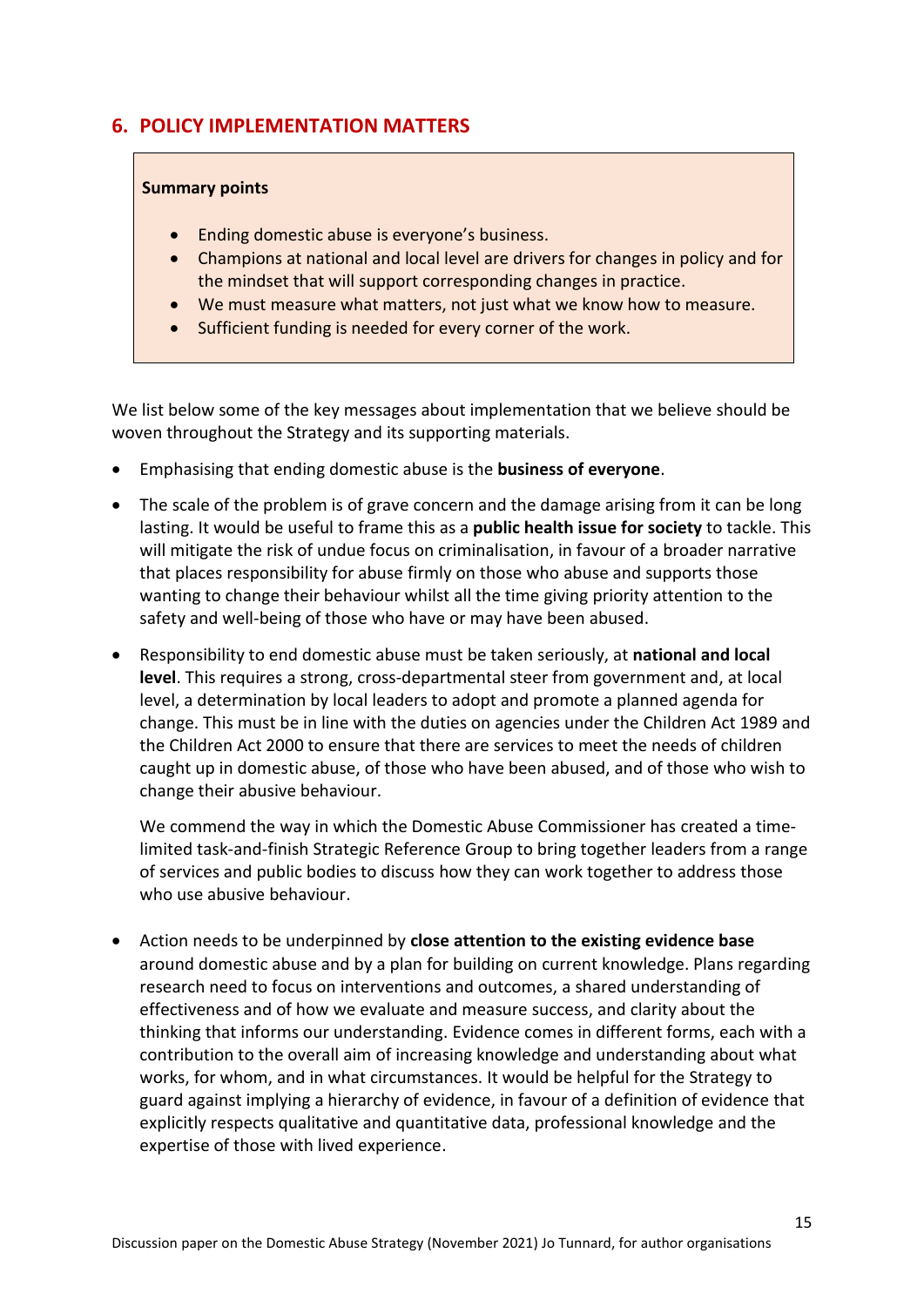## **6. POLICY IMPLEMENTATION MATTERS**

### **Summary points**

- Ending domestic abuse is everyone's business.
- Champions at national and local level are drivers for changes in policy and for the mindset that will support corresponding changes in practice.
- We must measure what matters, not just what we know how to measure.
- Sufficient funding is needed for every corner of the work.

We list below some of the key messages about implementation that we believe should be woven throughout the Strategy and its supporting materials.

- Emphasising that ending domestic abuse is the **business of everyone**.
- The scale of the problem is of grave concern and the damage arising from it can be long lasting. It would be useful to frame this as a **public health issue for society** to tackle. This will mitigate the risk of undue focus on criminalisation, in favour of a broader narrative that places responsibility for abuse firmly on those who abuse and supports those wanting to change their behaviour whilst all the time giving priority attention to the safety and well-being of those who have or may have been abused.
- Responsibility to end domestic abuse must be taken seriously, at **national and local level**. This requires a strong, cross-departmental steer from government and, at local level, a determination by local leaders to adopt and promote a planned agenda for change. This must be in line with the duties on agencies under the Children Act 1989 and the Children Act 2000 to ensure that there are services to meet the needs of children caught up in domestic abuse, of those who have been abused, and of those who wish to change their abusive behaviour.

We commend the way in which the Domestic Abuse Commissioner has created a timelimited task-and-finish Strategic Reference Group to bring together leaders from a range of services and public bodies to discuss how they can work together to address those who use abusive behaviour.

• Action needs to be underpinned by **close attention to the existing evidence base** around domestic abuse and by a plan for building on current knowledge. Plans regarding research need to focus on interventions and outcomes, a shared understanding of effectiveness and of how we evaluate and measure success, and clarity about the thinking that informs our understanding. Evidence comes in different forms, each with a contribution to the overall aim of increasing knowledge and understanding about what works, for whom, and in what circumstances. It would be helpful for the Strategy to guard against implying a hierarchy of evidence, in favour of a definition of evidence that explicitly respects qualitative and quantitative data, professional knowledge and the expertise of those with lived experience.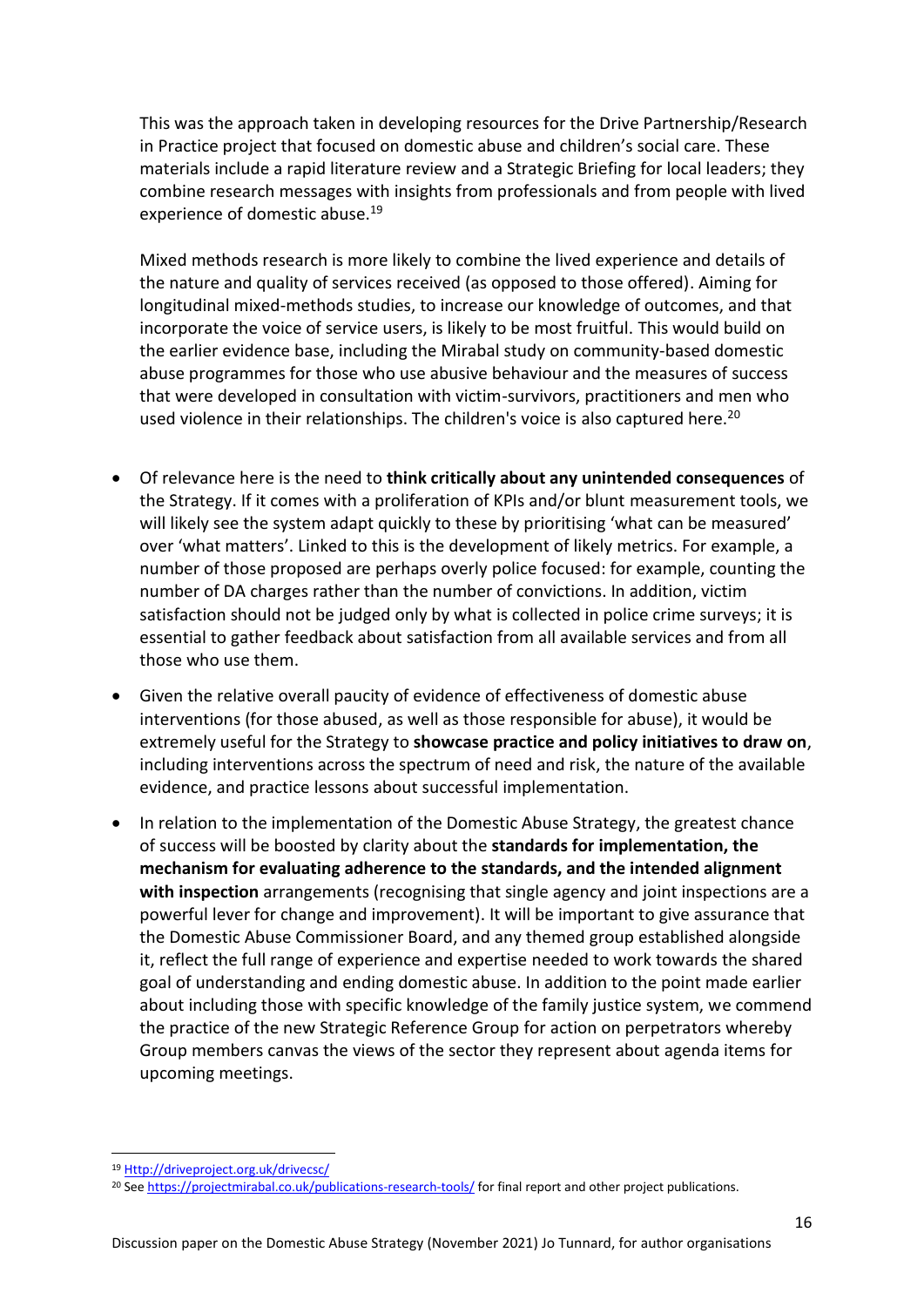This was the approach taken in developing resources for the Drive Partnership/Research in Practice project that focused on domestic abuse and children's social care. These materials include a rapid literature review and a Strategic Briefing for local leaders; they combine research messages with insights from professionals and from people with lived experience of domestic abuse.<sup>19</sup>

Mixed methods research is more likely to combine the lived experience and details of the nature and quality of services received (as opposed to those offered). Aiming for longitudinal mixed-methods studies, to increase our knowledge of outcomes, and that incorporate the voice of service users, is likely to be most fruitful. This would build on the earlier evidence base, including the Mirabal study on community-based domestic abuse programmes for those who use abusive behaviour and the measures of success that were developed in consultation with victim-survivors, practitioners and men who used violence in their relationships. The children's voice is also captured here.<sup>20</sup>

- Of relevance here is the need to **think critically about any unintended consequences** of the Strategy. If it comes with a proliferation of KPIs and/or blunt measurement tools, we will likely see the system adapt quickly to these by prioritising 'what can be measured' over 'what matters'. Linked to this is the development of likely metrics. For example, a number of those proposed are perhaps overly police focused: for example, counting the number of DA charges rather than the number of convictions. In addition, victim satisfaction should not be judged only by what is collected in police crime surveys; it is essential to gather feedback about satisfaction from all available services and from all those who use them.
- Given the relative overall paucity of evidence of effectiveness of domestic abuse interventions (for those abused, as well as those responsible for abuse), it would be extremely useful for the Strategy to **showcase practice and policy initiatives to draw on**, including interventions across the spectrum of need and risk, the nature of the available evidence, and practice lessons about successful implementation.
- In relation to the implementation of the Domestic Abuse Strategy, the greatest chance of success will be boosted by clarity about the **standards for implementation, the mechanism for evaluating adherence to the standards, and the intended alignment with inspection** arrangements (recognising that single agency and joint inspections are a powerful lever for change and improvement). It will be important to give assurance that the Domestic Abuse Commissioner Board, and any themed group established alongside it, reflect the full range of experience and expertise needed to work towards the shared goal of understanding and ending domestic abuse. In addition to the point made earlier about including those with specific knowledge of the family justice system, we commend the practice of the new Strategic Reference Group for action on perpetrators whereby Group members canvas the views of the sector they represent about agenda items for upcoming meetings.

<sup>19</sup> [Http://driveproject.org.uk/drivecsc/](http://driveproject.org.uk/drivecsc/)

<sup>&</sup>lt;sup>20</sup> Se[e https://projectmirabal.co.uk/publications-research-tools/](https://projectmirabal.co.uk/publications-research-tools/) for final report and other project publications.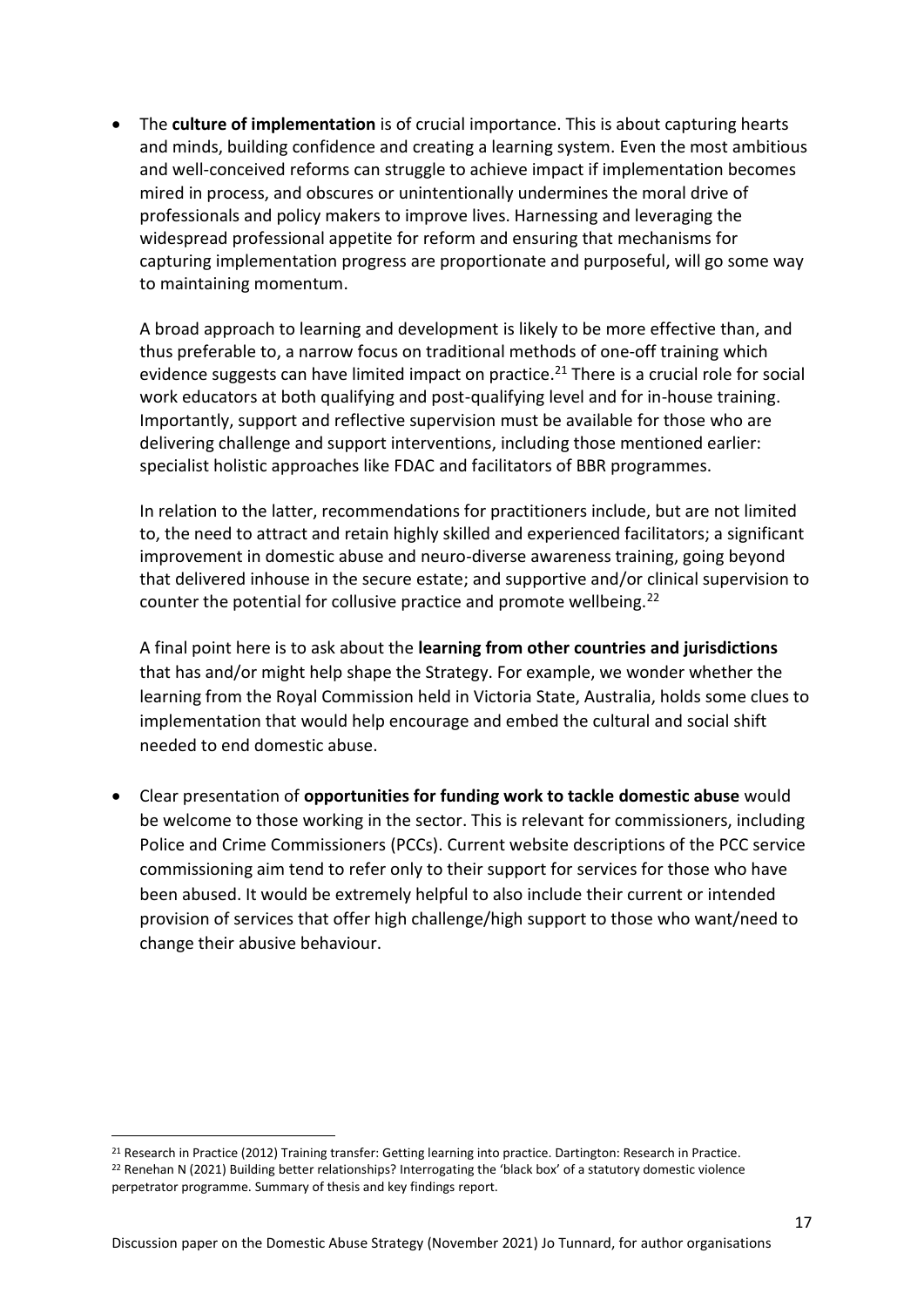• The **culture of implementation** is of crucial importance. This is about capturing hearts and minds, building confidence and creating a learning system. Even the most ambitious and well-conceived reforms can struggle to achieve impact if implementation becomes mired in process, and obscures or unintentionally undermines the moral drive of professionals and policy makers to improve lives. Harnessing and leveraging the widespread professional appetite for reform and ensuring that mechanisms for capturing implementation progress are proportionate and purposeful, will go some way to maintaining momentum.

A broad approach to learning and development is likely to be more effective than, and thus preferable to, a narrow focus on traditional methods of one-off training which evidence suggests can have limited impact on practice. <sup>21</sup> There is a crucial role for social work educators at both qualifying and post-qualifying level and for in-house training. Importantly, support and reflective supervision must be available for those who are delivering challenge and support interventions, including those mentioned earlier: specialist holistic approaches like FDAC and facilitators of BBR programmes.

In relation to the latter, recommendations for practitioners include, but are not limited to, the need to attract and retain highly skilled and experienced facilitators; a significant improvement in domestic abuse and neuro-diverse awareness training, going beyond that delivered inhouse in the secure estate; and supportive and/or clinical supervision to counter the potential for collusive practice and promote wellbeing.<sup>22</sup>

A final point here is to ask about the **learning from other countries and jurisdictions** that has and/or might help shape the Strategy. For example, we wonder whether the learning from the Royal Commission held in Victoria State, Australia, holds some clues to implementation that would help encourage and embed the cultural and social shift needed to end domestic abuse.

• Clear presentation of **opportunities for funding work to tackle domestic abuse** would be welcome to those working in the sector. This is relevant for commissioners, including Police and Crime Commissioners (PCCs). Current website descriptions of the PCC service commissioning aim tend to refer only to their support for services for those who have been abused. It would be extremely helpful to also include their current or intended provision of services that offer high challenge/high support to those who want/need to change their abusive behaviour.

<sup>21</sup> Research in Practice (2012) Training transfer: Getting learning into practice. Dartington: Research in Practice. <sup>22</sup> Renehan N (2021) Building better relationships? Interrogating the 'black box' of a statutory domestic violence perpetrator programme. Summary of thesis and key findings report.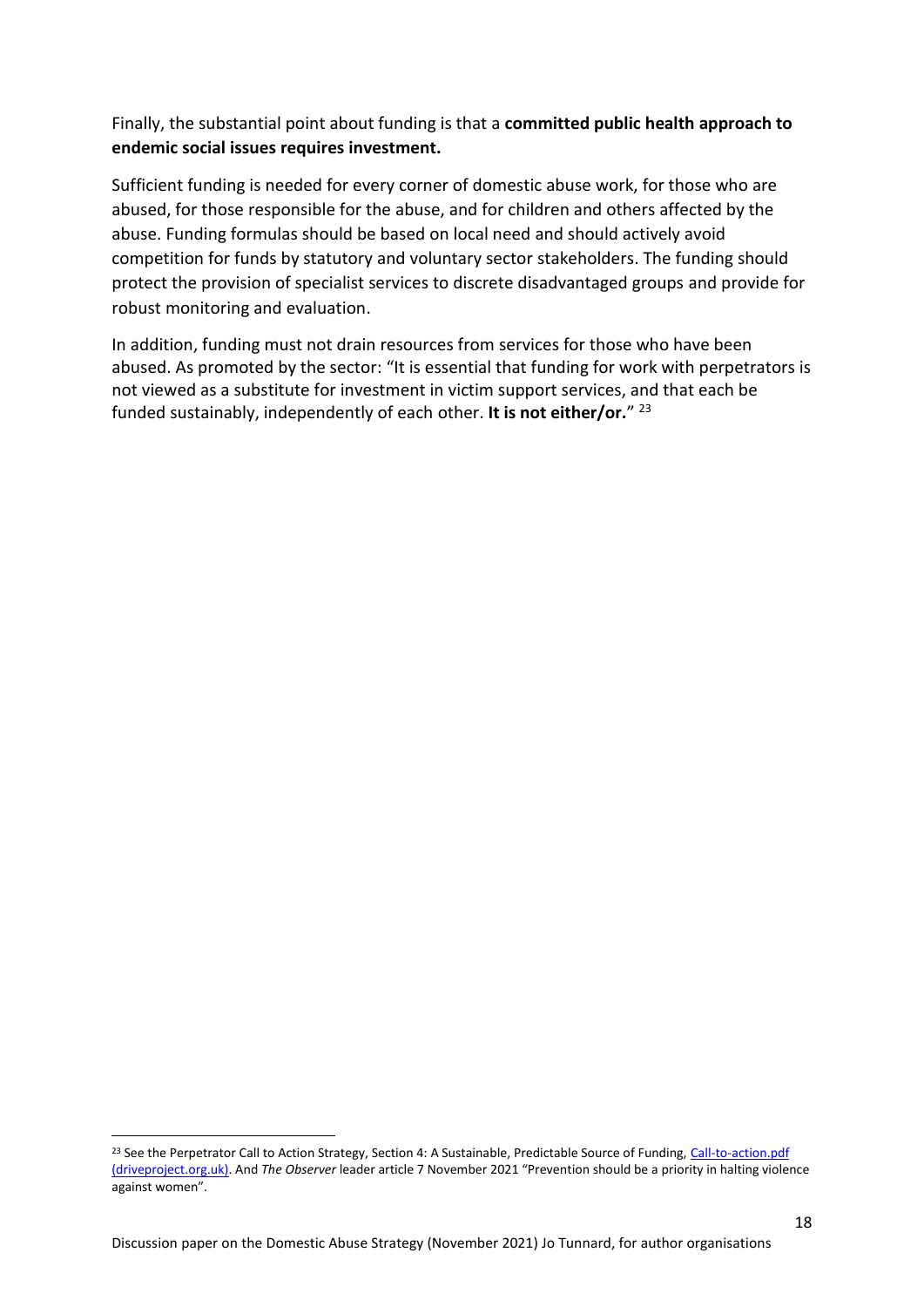### Finally, the substantial point about funding is that a **committed public health approach to endemic social issues requires investment.**

Sufficient funding is needed for every corner of domestic abuse work, for those who are abused, for those responsible for the abuse, and for children and others affected by the abuse. Funding formulas should be based on local need and should actively avoid competition for funds by statutory and voluntary sector stakeholders. The funding should protect the provision of specialist services to discrete disadvantaged groups and provide for robust monitoring and evaluation.

In addition, funding must not drain resources from services for those who have been abused. As promoted by the sector: "It is essential that funding for work with perpetrators is not viewed as a substitute for investment in victim support services, and that each be funded sustainably, independently of each other. **It is not either/or.**" 23

<sup>&</sup>lt;sup>23</sup> See the Perpetrator Call to Action Strategy, Section 4: A Sustainable, Predictable Source of Funding, Call-to-action.pdf [\(driveproject.org.uk\).](http://driveproject.org.uk/wp-content/uploads/2021/02/Call-to-action.pdf) And *The Observer* leader article 7 November 2021 "Prevention should be a priority in halting violence against women".